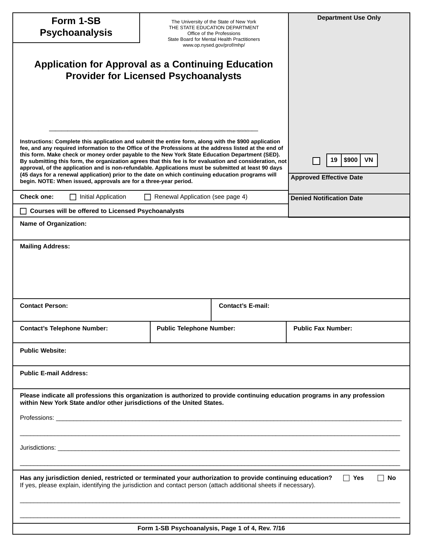| Form 1-SB<br><b>Psychoanalysis</b>                                                                                                                                                                                                                                                                                                                                                                                                                                                                                                                                                                                                                                                                          |                                 | The University of the State of New York<br>THE STATE EDUCATION DEPARTMENT<br>Office of the Professions<br>State Board for Mental Health Practitioners<br>www.op.nysed.gov/prof/mhp/ | <b>Department Use Only</b>                          |  |
|-------------------------------------------------------------------------------------------------------------------------------------------------------------------------------------------------------------------------------------------------------------------------------------------------------------------------------------------------------------------------------------------------------------------------------------------------------------------------------------------------------------------------------------------------------------------------------------------------------------------------------------------------------------------------------------------------------------|---------------------------------|-------------------------------------------------------------------------------------------------------------------------------------------------------------------------------------|-----------------------------------------------------|--|
| <b>Application for Approval as a Continuing Education</b><br><b>Provider for Licensed Psychoanalysts</b>                                                                                                                                                                                                                                                                                                                                                                                                                                                                                                                                                                                                    |                                 |                                                                                                                                                                                     |                                                     |  |
| Instructions: Complete this application and submit the entire form, along with the \$900 application<br>fee, and any required information to the Office of the Professions at the address listed at the end of<br>this form. Make check or money order payable to the New York State Education Department (SED).<br>By submitting this form, the organization agrees that this fee is for evaluation and consideration, not<br>approval, of the application and is non-refundable. Applications must be submitted at least 90 days<br>(45 days for a renewal application) prior to the date on which continuing education programs will<br>begin. NOTE: When issued, approvals are for a three-year period. |                                 |                                                                                                                                                                                     | \$900<br>19<br>VN<br><b>Approved Effective Date</b> |  |
| Renewal Application (see page 4)<br><b>Check one:</b><br>Initial Application                                                                                                                                                                                                                                                                                                                                                                                                                                                                                                                                                                                                                                |                                 |                                                                                                                                                                                     | <b>Denied Notification Date</b>                     |  |
| <b>Courses will be offered to Licensed Psychoanalysts</b>                                                                                                                                                                                                                                                                                                                                                                                                                                                                                                                                                                                                                                                   |                                 |                                                                                                                                                                                     |                                                     |  |
| Name of Organization:                                                                                                                                                                                                                                                                                                                                                                                                                                                                                                                                                                                                                                                                                       |                                 |                                                                                                                                                                                     |                                                     |  |
| <b>Mailing Address:</b>                                                                                                                                                                                                                                                                                                                                                                                                                                                                                                                                                                                                                                                                                     |                                 |                                                                                                                                                                                     |                                                     |  |
| <b>Contact Person:</b>                                                                                                                                                                                                                                                                                                                                                                                                                                                                                                                                                                                                                                                                                      |                                 | <b>Contact's E-mail:</b>                                                                                                                                                            |                                                     |  |
| <b>Contact's Telephone Number:</b>                                                                                                                                                                                                                                                                                                                                                                                                                                                                                                                                                                                                                                                                          | <b>Public Telephone Number:</b> |                                                                                                                                                                                     | <b>Public Fax Number:</b>                           |  |
| <b>Public Website:</b>                                                                                                                                                                                                                                                                                                                                                                                                                                                                                                                                                                                                                                                                                      |                                 |                                                                                                                                                                                     |                                                     |  |
| <b>Public E-mail Address:</b>                                                                                                                                                                                                                                                                                                                                                                                                                                                                                                                                                                                                                                                                               |                                 |                                                                                                                                                                                     |                                                     |  |
| Please indicate all professions this organization is authorized to provide continuing education programs in any profession<br>within New York State and/or other jurisdictions of the United States.                                                                                                                                                                                                                                                                                                                                                                                                                                                                                                        |                                 |                                                                                                                                                                                     |                                                     |  |
|                                                                                                                                                                                                                                                                                                                                                                                                                                                                                                                                                                                                                                                                                                             |                                 |                                                                                                                                                                                     |                                                     |  |
| Has any jurisdiction denied, restricted or terminated your authorization to provide continuing education?<br>Yes<br>No<br>$\mathcal{L}$<br>$\overline{\phantom{0}}$<br>If yes, please explain, identifying the jurisdiction and contact person (attach additional sheets if necessary).                                                                                                                                                                                                                                                                                                                                                                                                                     |                                 |                                                                                                                                                                                     |                                                     |  |
|                                                                                                                                                                                                                                                                                                                                                                                                                                                                                                                                                                                                                                                                                                             |                                 |                                                                                                                                                                                     |                                                     |  |
| Form 1-SB Psychoanalysis, Page 1 of 4, Rev. 7/16                                                                                                                                                                                                                                                                                                                                                                                                                                                                                                                                                                                                                                                            |                                 |                                                                                                                                                                                     |                                                     |  |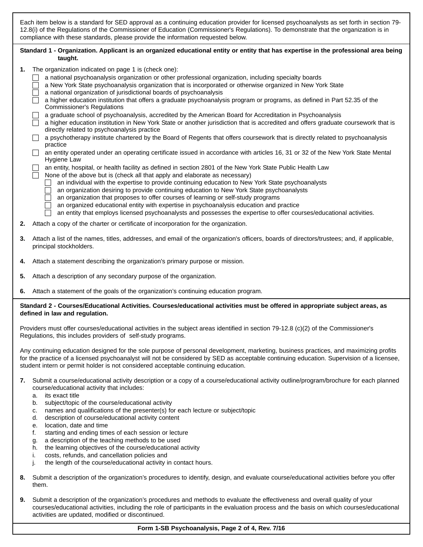Each item below is a standard for SED approval as a continuing education provider for licensed psychoanalysts as set forth in section 79- 12.8(i) of the Regulations of the Commissioner of Education (Commissioner's Regulations). To demonstrate that the organization is in compliance with these standards, please provide the information requested below.

## **Standard 1 - Organization. Applicant is an organized educational entity or entity that has expertise in the professional area being taught.**

- **1.** The organization indicated on page 1 is (check one):
	- □ a national psychoanalysis organization or other professional organization, including specialty boards
	- a New York State psychoanalysis organization that is incorporated or otherwise organized in New York State
	- $\Box$  a national organization of jurisdictional boards of psychoanalysis
	- $\Box$  a higher education institution that offers a graduate psychoanalysis program or programs, as defined in Part 52.35 of the Commissioner's Regulations
	- a graduate school of psychoanalysis, accredited by the American Board for Accreditation in Psychoanalysis
	- $\overline{\Box}$  a higher education institution in New York State or another jurisdiction that is accredited and offers graduate coursework that is directly related to psychoanalysis practice
	- $\Box$  a psychotherapy institute chartered by the Board of Regents that offers coursework that is directly related to psychoanalysis practice
	- □ an entity operated under an operating certificate issued in accordance with articles 16, 31 or 32 of the New York State Mental Hygiene Law

# an entity, hospital, or health facility as defined in section 2801 of the New York State Public Health Law

- None of the above but is (check all that apply and elaborate as necessary)
	- $\Box$  an individual with the expertise to provide continuing education to New York State psychoanalysts
	- an organization desiring to provide continuing education to New York State psychoanalysts
	- □ an organization that proposes to offer courses of learning or self-study programs
	- $\Box$  an organized educational entity with expertise in psychoanalysis education and practice
	- an entity that employs licensed psychoanalysts and possesses the expertise to offer courses/educational activities.
- **2.** Attach a copy of the charter or certificate of incorporation for the organization.
- **3.** Attach a list of the names, titles, addresses, and email of the organization's officers, boards of directors/trustees; and, if applicable, principal stockholders.
- **4.** Attach a statement describing the organization's primary purpose or mission.
- **5.** Attach a description of any secondary purpose of the organization.
- **6.** Attach a statement of the goals of the organization's continuing education program.

### **Standard 2 - Courses/Educational Activities. Courses/educational activities must be offered in appropriate subject areas, as defined in law and regulation.**

Providers must offer courses/educational activities in the subject areas identified in section 79-12.8 (c)(2) of the Commissioner's Regulations, this includes providers of self-study programs.

Any continuing education designed for the sole purpose of personal development, marketing, business practices, and maximizing profits for the practice of a licensed psychoanalyst will not be considered by SED as acceptable continuing education. Supervision of a licensee, student intern or permit holder is not considered acceptable continuing education.

- **7.** Submit a course/educational activity description or a copy of a course/educational activity outline/program/brochure for each planned course/educational activity that includes:
	- a. its exact title
	- b. subject/topic of the course/educational activity
	- c. names and qualifications of the presenter(s) for each lecture or subject/topic
	- d. description of course/educational activity content
	- e. location, date and time
	- f. starting and ending times of each session or lecture
	- g. a description of the teaching methods to be used<br>h. the learning objectives of the course/educational a
	- the learning objectives of the course/educational activity
	- i. costs, refunds, and cancellation policies and
	- j. the length of the course/educational activity in contact hours.
- **8.** Submit a description of the organization's procedures to identify, design, and evaluate course/educational activities before you offer them.
- **9.** Submit a description of the organization's procedures and methods to evaluate the effectiveness and overall quality of your courses/educational activities, including the role of participants in the evaluation process and the basis on which courses/educational activities are updated, modified or discontinued.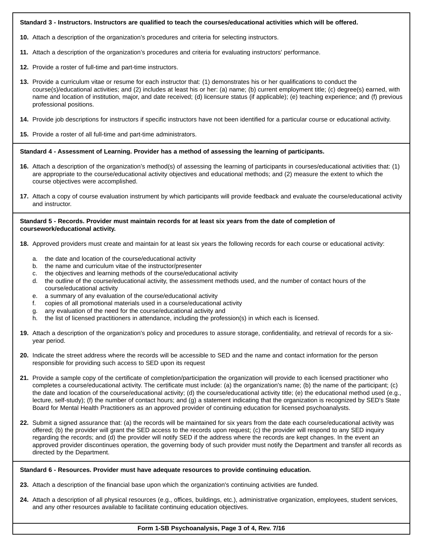### **Standard 3 - Instructors. Instructors are qualified to teach the courses/educational activities which will be offered.**

**10.** Attach a description of the organization's procedures and criteria for selecting instructors.

- **11.** Attach a description of the organization's procedures and criteria for evaluating instructors' performance.
- **12.** Provide a roster of full-time and part-time instructors.
- **13.** Provide a curriculum vitae or resume for each instructor that: (1) demonstrates his or her qualifications to conduct the course(s)/educational activities; and (2) includes at least his or her: (a) name; (b) current employment title; (c) degree(s) earned, with name and location of institution, major, and date received; (d) licensure status (if applicable); (e) teaching experience; and (f) previous professional positions.
- **14.** Provide job descriptions for instructors if specific instructors have not been identified for a particular course or educational activity.
- **15.** Provide a roster of all full-time and part-time administrators.

#### **Standard 4 - Assessment of Learning. Provider has a method of assessing the learning of participants.**

- **16.** Attach a description of the organization's method(s) of assessing the learning of participants in courses/educational activities that: (1) are appropriate to the course/educational activity objectives and educational methods; and (2) measure the extent to which the course objectives were accomplished.
- **17.** Attach a copy of course evaluation instrument by which participants will provide feedback and evaluate the course/educational activity and instructor.

### **Standard 5 - Records. Provider must maintain records for at least six years from the date of completion of coursework/educational activity.**

- **18.** Approved providers must create and maintain for at least six years the following records for each course or educational activity:
	- a. the date and location of the course/educational activity
	- b. the name and curriculum vitae of the instructor/presenter
	- c. the objectives and learning methods of the course/educational activity
	- d. the outline of the course/educational activity, the assessment methods used, and the number of contact hours of the course/educational activity
	- e. a summary of any evaluation of the course/educational activity
	- f. copies of all promotional materials used in a course/educational activity
	- g. any evaluation of the need for the course/educational activity and
	- h. the list of licensed practitioners in attendance, including the profession(s) in which each is licensed.
- **19.** Attach a description of the organization's policy and procedures to assure storage, confidentiality, and retrieval of records for a sixyear period.
- **20.** Indicate the street address where the records will be accessible to SED and the name and contact information for the person responsible for providing such access to SED upon its request
- **21.** Provide a sample copy of the certificate of completion/participation the organization will provide to each licensed practitioner who completes a course/educational activity. The certificate must include: (a) the organization's name; (b) the name of the participant; (c) the date and location of the course/educational activity; (d) the course/educational activity title; (e) the educational method used (e.g., lecture, self-study); (f) the number of contact hours; and (g) a statement indicating that the organization is recognized by SED's State Board for Mental Health Practitioners as an approved provider of continuing education for licensed psychoanalysts.
- **22.** Submit a signed assurance that: (a) the records will be maintained for six years from the date each course/educational activity was offered; (b) the provider will grant the SED access to the records upon request; (c) the provider will respond to any SED inquiry regarding the records; and (d) the provider will notify SED if the address where the records are kept changes. In the event an approved provider discontinues operation, the governing body of such provider must notify the Department and transfer all records as directed by the Department.

#### **Standard 6 - Resources. Provider must have adequate resources to provide continuing education.**

- **23.** Attach a description of the financial base upon which the organization's continuing activities are funded.
- **24.** Attach a description of all physical resources (e.g., offices, buildings, etc.), administrative organization, employees, student services, and any other resources available to facilitate continuing education objectives.

### **Form 1-SB Psychoanalysis, Page 3 of 4, Rev. 7/16**